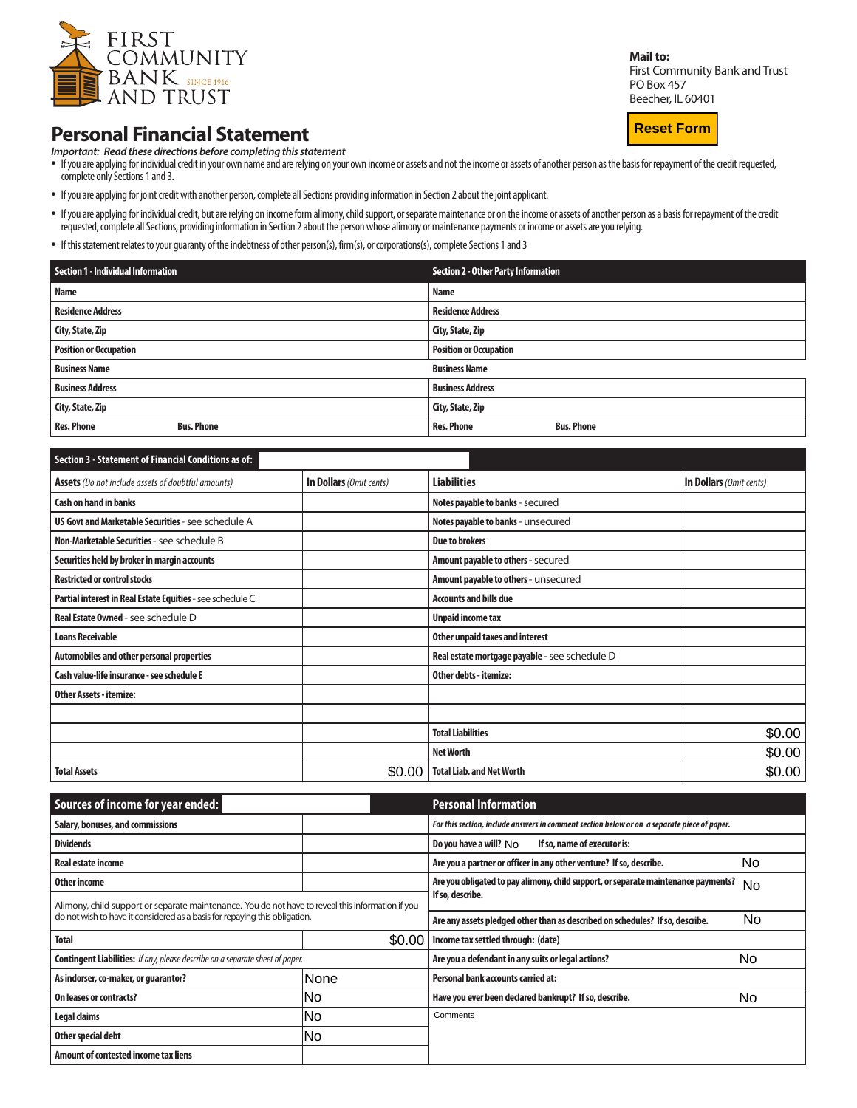

## **Personal Financial Statement**

*Important: Read these directions before completing this statement*

- If you are applying for individual credit in your own name and are relying on your own income or assets and not the income or assets of another person as the basis for repayment of the credit requested, complete only Sections 1 and 3.
- If you are applying for joint credit with another person, complete all Sections providing information in Section 2 about the joint applicant.
- If you are applying for individual credit, but are relying on income form alimony, child support, or separate maintenance or on the income or assets of another person as a basis for repayment of the credit requested, complete all Sections, providing information in Section 2 about the person whose alimony or maintenance payments or income or assets are you relying.
- If this statement relates to your guaranty of the indebtness of other person(s), firm(s), or corporations(s), complete Sections 1 and 3

| Section 1 - Individual Information     | <b>Section 2 - Other Party Information</b> |  |  |
|----------------------------------------|--------------------------------------------|--|--|
| <b>Name</b>                            | <b>Name</b>                                |  |  |
| <b>Residence Address</b>               | <b>Residence Address</b>                   |  |  |
| City, State, Zip                       | City, State, Zip                           |  |  |
| <b>Position or Occupation</b>          | <b>Position or Occupation</b>              |  |  |
| <b>Business Name</b>                   | <b>Business Name</b>                       |  |  |
| <b>Business Address</b>                | <b>Business Address</b>                    |  |  |
| City, State, Zip                       | City, State, Zip                           |  |  |
| <b>Res. Phone</b><br><b>Bus. Phone</b> | <b>Bus. Phone</b><br><b>Res. Phone</b>     |  |  |

| <b>Section 3 - Statement of Financial Conditions as of:</b> |                         |                                               |                         |
|-------------------------------------------------------------|-------------------------|-----------------------------------------------|-------------------------|
| <b>Assets</b> (Do not include assets of doubtful amounts)   | In Dollars (Omit cents) | <b>Liabilities</b>                            | In Dollars (Omit cents) |
| <b>Cash on hand in banks</b>                                |                         | Notes payable to banks - secured              |                         |
| US Govt and Marketable Securities - see schedule A          |                         | Notes payable to banks - unsecured            |                         |
| Non-Marketable Securities - see schedule B                  |                         | <b>Due to brokers</b>                         |                         |
| Securities held by broker in margin accounts                |                         | Amount payable to others - secured            |                         |
| <b>Restricted or control stocks</b>                         |                         | Amount payable to others - unsecured          |                         |
| Partial interest in Real Estate Equities - see schedule C   |                         | <b>Accounts and bills due</b>                 |                         |
| <b>Real Estate Owned - see schedule D</b>                   |                         | <b>Unpaid income tax</b>                      |                         |
| <b>Loans Receivable</b>                                     |                         | Other unpaid taxes and interest               |                         |
| Automobiles and other personal properties                   |                         | Real estate mortgage payable - see schedule D |                         |
| Cash value-life insurance - see schedule E                  |                         | Other debts - itemize:                        |                         |
| <b>Other Assets - itemize:</b>                              |                         |                                               |                         |
|                                                             |                         |                                               |                         |
|                                                             |                         | <b>Total Liabilities</b>                      | \$0.00                  |
|                                                             |                         | <b>Net Worth</b>                              | \$0.00                  |
| <b>Total Assets</b>                                         | \$0.00                  | <b>Total Liab. and Net Worth</b>              | \$0.00                  |

| Sources of income for year ended:                                                                                                                                               |        | <b>Personal Information</b>                                                                 |     |  |
|---------------------------------------------------------------------------------------------------------------------------------------------------------------------------------|--------|---------------------------------------------------------------------------------------------|-----|--|
| Salary, bonuses, and commissions                                                                                                                                                |        | For this section, include answers in comment section below or on a separate piece of paper. |     |  |
| <b>Dividends</b>                                                                                                                                                                |        | Do you have a will? No<br>If so, name of executor is:                                       |     |  |
| <b>Real estate income</b>                                                                                                                                                       |        | Are you a partner or officer in any other venture? If so, describe.                         | No. |  |
| Other income                                                                                                                                                                    |        | Are you obligated to pay alimony, child support, or separate maintenance payments?          | No  |  |
| Alimony, child support or separate maintenance. You do not have to reveal this information if you<br>do not wish to have it considered as a basis for repaying this obligation. |        | If so, describe.                                                                            |     |  |
|                                                                                                                                                                                 |        | Are any assets pledged other than as described on schedules? If so, describe.               | No. |  |
| <b>Total</b>                                                                                                                                                                    | \$0.00 | Income tax settled through: (date)                                                          |     |  |
| <b>Contingent Liabilities:</b> If any, please describe on a separate sheet of paper.                                                                                            |        | Are you a defendant in any suits or legal actions?                                          | No  |  |
| As indorser, co-maker, or quarantor?                                                                                                                                            | None   | Personal bank accounts carried at:                                                          |     |  |
| On leases or contracts?                                                                                                                                                         | lNo    | Have you ever been declared bankrupt? If so, describe.                                      | No. |  |
| Legal claims                                                                                                                                                                    | No     | Comments                                                                                    |     |  |
| Other special debt                                                                                                                                                              | lNo    |                                                                                             |     |  |
| Amount of contested income tax liens                                                                                                                                            |        |                                                                                             |     |  |

**Mail to:**

**Reset Form**

First Community Bank and Trust POBox 457 Beecher, IL 60401